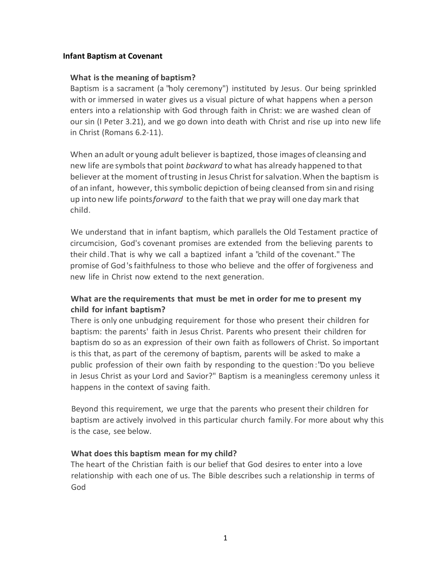## **Infant Baptism at Covenant**

## **What isthe meaning of baptism?**

Baptism is a sacrament (a "holy ceremony") instituted by Jesus. Our being sprinkled with or immersed in water gives us a visual picture of what happens when a person enters into a relationship with God through faith in Christ: we are washed clean of our sin (I Peter 3.21), and we go down into death with Christ and rise up into new life in Christ (Romans 6.2-11).

When an adult or young adult believer is baptized, those images of cleansing and new life are symbolsthat point *backward* towhat has already happened to that believer at the moment oftrusting in Jesus Christ forsalvation.When the baptism is of an infant, however, thissymbolic depiction of being cleansed from sin and rising up into new life points*forward* to the faith that we pray will one day mark that child.

We understand that in infant baptism, which parallels the Old Testament practice of circumcision, God's covenant promises are extended from the believing parents to their child.That is why we call a baptized infant a "child of the covenant." The promise of God'sfaithfulness to those who believe and the offer of forgiveness and new life in Christ now extend to the next generation.

# **What are the requirements that must be met in order for me to present my child for infant baptism?**

There is only one unbudging requirement for those who present their children for baptism: the parents' faith in Jesus Christ. Parents who present their children for baptism do so as an expression of their own faith as followers of Christ. So important is this that, as part of the ceremony of baptism, parents will be asked to make a public profession of their own faith by responding to the question :"Do you believe in Jesus Christ as your Lord and Savior?" Baptism is a meaningless ceremony unless it happens in the context of saving faith.

Beyond this requirement, we urge that the parents who present their children for baptism are actively involved in this particular church family. For more about why this is the case, see below.

## **What does this baptism mean for my child?**

The heart of the Christian faith is our belief that God desires to enter into a love relationship with each one of us. The Bible describes such a relationship in terms of God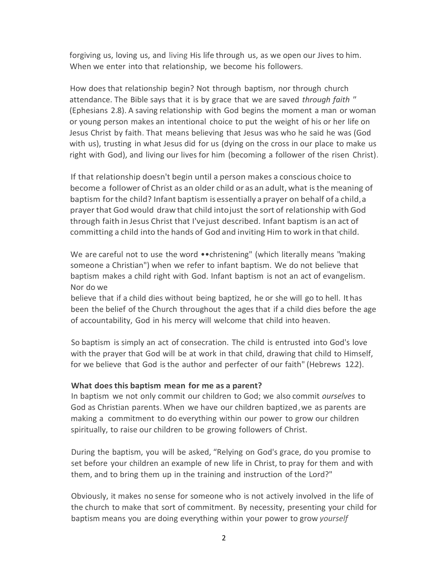forgiving us, loving us, and living His life through us, as we open our Jives to him. When we enter into that relationship, we become his followers.

How does that relationship begin? Not through baptism, nor through church attendance. The Bible says that it is by grace that we are saved *through faith "* (Ephesians 2.8). A saving relationship with God begins the moment a man or woman or young person makes an intentional choice to put the weight of his or her life on Jesus Christ by faith. That means believing that Jesus was who he said he was (God with us), trusting in what Jesus did for us (dying on the cross in our place to make us right with God), and living our lives for him (becoming a follower of the risen Christ).

If that relationship doesn't begin until a person makes a conscious choice to become a follower of Christ as an older child or as an adult, what is the meaning of baptism forthe child? Infant baptism isessentially a prayer on behalf ofa child,a prayer that God would draw that child intojust the sort of relationship with God through faith in Jesus Christ that I'vejust described. Infant baptism is an act of committing a child into the hands of God and inviting Him to work in that child.

We are careful not to use the word •• christening" (which literally means "making someone a Christian") when we refer to infant baptism. We do not believe that baptism makes a child right with God. Infant baptism is not an act of evangelism. Nor do we

believe that if a child dies without being baptized, he or she will go to hell. It has been the belief of the Church throughout the ages that if a child dies before the age of accountability, God in his mercy will welcome that child into heaven.

So baptism is simply an act of consecration. The child is entrusted into God's love with the prayer that God will be at work in that child, drawing that child to Himself, for we believe that God is the author and perfecter of our faith" (Hebrews 12.2).

#### **What does this baptism mean for me as a parent?**

In baptism we not only commit our children to God; we also commit *ourselves* to God as Christian parents.When we have our children baptized,we as parents are making a commitment to do everything within our power to grow our children spiritually, to raise our children to be growing followers of Christ.

During the baptism, you will be asked, "Relying on God's grace, do you promise to set before your children an example of new life in Christ, to pray for them and with them, and to bring them up in the training and instruction of the Lord?"

Obviously, it makes no sense for someone who is not actively involved in the life of the church to make that sort of commitment. By necessity, presenting your child for baptism means you are doing everything within your power to grow *yourself*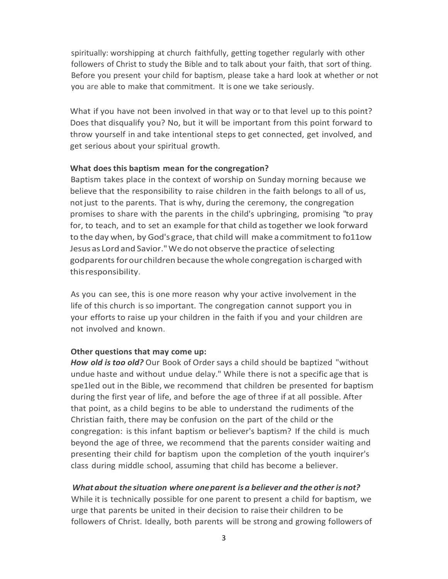spiritually: worshipping at church faithfully, getting together regularly with other followers of Christ to study the Bible and to talk about your faith, that sort of thing. Before you present your child for baptism, please take a hard look at whether or not you are able to make that commitment. It is one we take seriously.

What if you have not been involved in that way or to that level up to this point? Does that disqualify you? No, but it will be important from this point forward to throw yourself in and take intentional steps to get connected, get involved, and get serious about your spiritual growth.

#### **What doesthis baptism mean for the congregation?**

Baptism takes place in the context of worship on Sunday morning because we believe that the responsibility to raise children in the faith belongs to all of us, notjust to the parents. That is why, during the ceremony, the congregation promises to share with the parents in the child's upbringing, promising "to pray for, to teach, and to set an example forthat child astogether we look forward to the day when, by God'sgrace, that child will make a commitment to fo11ow Jesus as Lord and Savior." We do not observe the practice of selecting godparents for our children because the whole congregation is charged with thisresponsibility.

As you can see, this is one more reason why your active involvement in the life of this church isso important. The congregation cannot support you in your efforts to raise up your children in the faith if you and your children are not involved and known.

#### **Other questions that may come up:**

*How old is too old?* Our Book of Ordersays a child should be baptized "without undue haste and without undue delay." While there is not a specific age that is spe1led out in the Bible, we recommend that children be presented for baptism during the first year of life, and before the age of three if at all possible. After that point, as a child begins to be able to understand the rudiments of the Christian faith, there may be confusion on the part of the child or the congregation: is this infant baptism or believer's baptism? If the child is much beyond the age of three, we recommend that the parents consider waiting and presenting their child for baptism upon the completion of the youth inquirer's class during middle school, assuming that child has become a believer.

## *What about the situation where oneparent isa believer and the other is not?*

While it is technically possible for one parent to present a child for baptism, we urge that parents be united in their decision to raise their children to be followers of Christ. Ideally, both parents will be strong and growing followers of